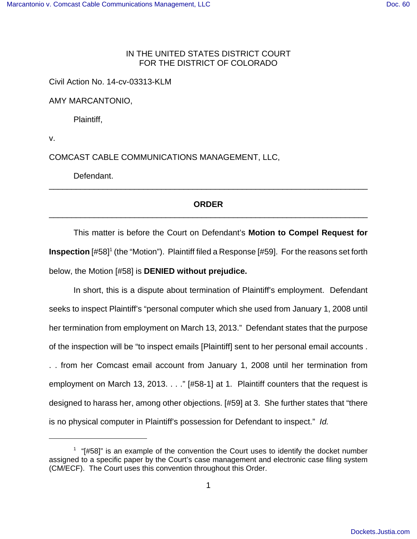## IN THE UNITED STATES DISTRICT COURT FOR THE DISTRICT OF COLORADO

Civil Action No. 14-cv-03313-KLM

AMY MARCANTONIO,

Plaintiff,

v.

COMCAST CABLE COMMUNICATIONS MANAGEMENT, LLC,

Defendant.

## **ORDER** \_\_\_\_\_\_\_\_\_\_\_\_\_\_\_\_\_\_\_\_\_\_\_\_\_\_\_\_\_\_\_\_\_\_\_\_\_\_\_\_\_\_\_\_\_\_\_\_\_\_\_\_\_\_\_\_\_\_\_\_\_\_\_\_\_\_\_\_\_\_\_

\_\_\_\_\_\_\_\_\_\_\_\_\_\_\_\_\_\_\_\_\_\_\_\_\_\_\_\_\_\_\_\_\_\_\_\_\_\_\_\_\_\_\_\_\_\_\_\_\_\_\_\_\_\_\_\_\_\_\_\_\_\_\_\_\_\_\_\_\_\_\_

This matter is before the Court on Defendant's **Motion to Compel Request for** Inspection [#58]<sup>1</sup> (the "Motion"). Plaintiff filed a Response [#59]. For the reasons set forth below, the Motion [#58] is **DENIED without prejudice.**

In short, this is a dispute about termination of Plaintiff's employment. Defendant seeks to inspect Plaintiff's "personal computer which she used from January 1, 2008 until her termination from employment on March 13, 2013." Defendant states that the purpose of the inspection will be "to inspect emails [Plaintiff] sent to her personal email accounts . . . from her Comcast email account from January 1, 2008 until her termination from employment on March 13, 2013. . . ." [#58-1] at 1. Plaintiff counters that the request is designed to harass her, among other objections. [#59] at 3. She further states that "there is no physical computer in Plaintiff's possession for Defendant to inspect." Id.

 $1$  "[#58]" is an example of the convention the Court uses to identify the docket number assigned to a specific paper by the Court's case management and electronic case filing system (CM/ECF). The Court uses this convention throughout this Order.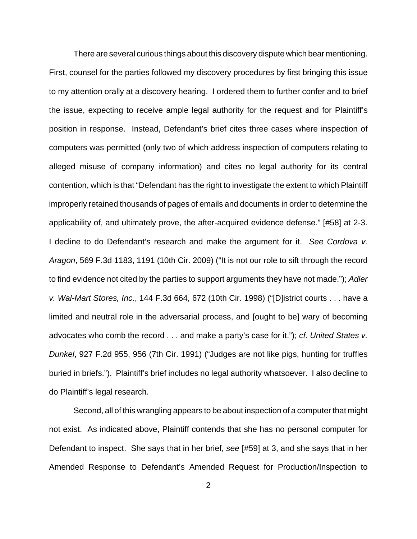There are several curious things about this discovery dispute which bear mentioning. First, counsel for the parties followed my discovery procedures by first bringing this issue to my attention orally at a discovery hearing. I ordered them to further confer and to brief the issue, expecting to receive ample legal authority for the request and for Plaintiff's position in response. Instead, Defendant's brief cites three cases where inspection of computers was permitted (only two of which address inspection of computers relating to alleged misuse of company information) and cites no legal authority for its central contention, which is that "Defendant has the right to investigate the extent to which Plaintiff improperly retained thousands of pages of emails and documents in order to determine the applicability of, and ultimately prove, the after-acquired evidence defense." [#58] at 2-3. I decline to do Defendant's research and make the argument for it. See Cordova v. Aragon, 569 F.3d 1183, 1191 (10th Cir. 2009) ("It is not our role to sift through the record to find evidence not cited by the parties to support arguments they have not made."); Adler v. Wal-Mart Stores, Inc., 144 F.3d 664, 672 (10th Cir. 1998) ("[D]istrict courts . . . have a limited and neutral role in the adversarial process, and [ought to be] wary of becoming advocates who comb the record . . . and make a party's case for it."); cf. United States v. Dunkel, 927 F.2d 955, 956 (7th Cir. 1991) ("Judges are not like pigs, hunting for truffles buried in briefs."). Plaintiff's brief includes no legal authority whatsoever. I also decline to do Plaintiff's legal research.

Second, all of this wrangling appears to be about inspection of a computer that might not exist. As indicated above, Plaintiff contends that she has no personal computer for Defendant to inspect. She says that in her brief, see [#59] at 3, and she says that in her Amended Response to Defendant's Amended Request for Production/Inspection to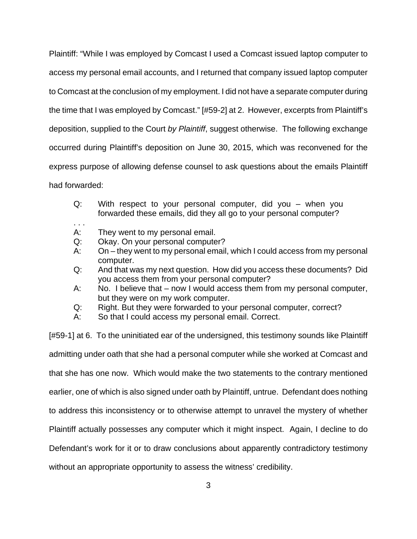Plaintiff: "While I was employed by Comcast I used a Comcast issued laptop computer to access my personal email accounts, and I returned that company issued laptop computer to Comcast at the conclusion of my employment. I did not have a separate computer during the time that I was employed by Comcast." [#59-2] at 2. However, excerpts from Plaintiff's deposition, supplied to the Court by Plaintiff, suggest otherwise. The following exchange occurred during Plaintiff's deposition on June 30, 2015, which was reconvened for the express purpose of allowing defense counsel to ask questions about the emails Plaintiff had forwarded:

- Q: With respect to your personal computer, did you when you forwarded these emails, did they all go to your personal computer?
- . . . A: They went to my personal email.
- Q: Okay. On your personal computer?
- A: On they went to my personal email, which I could access from my personal computer.
- Q: And that was my next question. How did you access these documents? Did you access them from your personal computer?
- A: No. I believe that now I would access them from my personal computer, but they were on my work computer.
- Q: Right. But they were forwarded to your personal computer, correct?
- A: So that I could access my personal email. Correct.

[#59-1] at 6. To the uninitiated ear of the undersigned, this testimony sounds like Plaintiff admitting under oath that she had a personal computer while she worked at Comcast and that she has one now. Which would make the two statements to the contrary mentioned earlier, one of which is also signed under oath by Plaintiff, untrue. Defendant does nothing to address this inconsistency or to otherwise attempt to unravel the mystery of whether Plaintiff actually possesses any computer which it might inspect. Again, I decline to do Defendant's work for it or to draw conclusions about apparently contradictory testimony without an appropriate opportunity to assess the witness' credibility.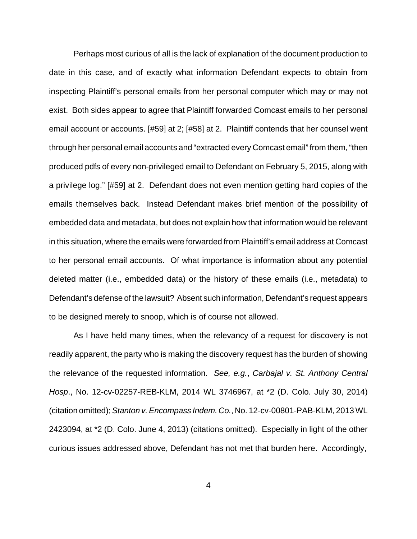Perhaps most curious of all is the lack of explanation of the document production to date in this case, and of exactly what information Defendant expects to obtain from inspecting Plaintiff's personal emails from her personal computer which may or may not exist. Both sides appear to agree that Plaintiff forwarded Comcast emails to her personal email account or accounts. [#59] at 2; [#58] at 2. Plaintiff contends that her counsel went through her personal email accounts and "extracted every Comcast email" from them, "then produced pdfs of every non-privileged email to Defendant on February 5, 2015, along with a privilege log." [#59] at 2. Defendant does not even mention getting hard copies of the emails themselves back. Instead Defendant makes brief mention of the possibility of embedded data and metadata, but does not explain how that information would be relevant in this situation, where the emails were forwarded from Plaintiff's email address at Comcast to her personal email accounts. Of what importance is information about any potential deleted matter (i.e., embedded data) or the history of these emails (i.e., metadata) to Defendant's defense of the lawsuit? Absent such information, Defendant's request appears to be designed merely to snoop, which is of course not allowed.

As I have held many times, when the relevancy of a request for discovery is not readily apparent, the party who is making the discovery request has the burden of showing the relevance of the requested information. See, e.g., Carbajal v. St. Anthony Central Hosp., No. 12-cv-02257-REB-KLM, 2014 WL 3746967, at \*2 (D. Colo. July 30, 2014) (citation omitted); Stanton v. Encompass Indem. Co., No. 12-cv-00801-PAB-KLM, 2013 WL 2423094, at \*2 (D. Colo. June 4, 2013) (citations omitted). Especially in light of the other curious issues addressed above, Defendant has not met that burden here. Accordingly,